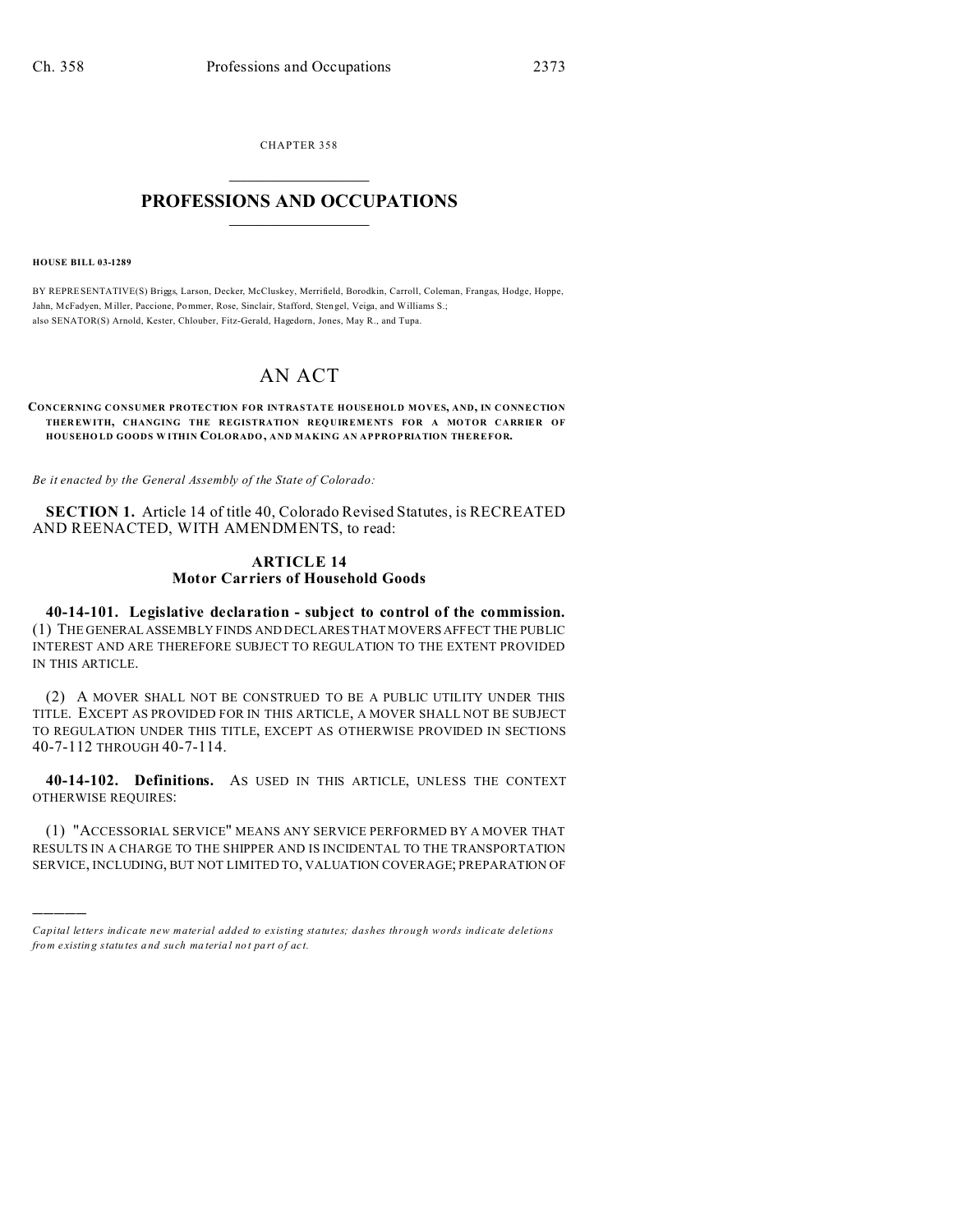CHAPTER 358  $\overline{\phantom{a}}$  , where  $\overline{\phantom{a}}$ 

## **PROFESSIONS AND OCCUPATIONS**  $\frac{1}{2}$  ,  $\frac{1}{2}$  ,  $\frac{1}{2}$  ,  $\frac{1}{2}$  ,  $\frac{1}{2}$  ,  $\frac{1}{2}$  ,  $\frac{1}{2}$

**HOUSE BILL 03-1289**

)))))

BY REPRESENTATIVE(S) Briggs, Larson, Decker, McCluskey, Merrifield, Borodkin, Carroll, Coleman, Frangas, Hodge, Hoppe, Jahn, McFadyen, M iller, Paccione, Pommer, Rose, Sinclair, Stafford, Sten gel, Veiga, and Williams S.; also SENATOR(S) Arnold, Kester, Chlouber, Fitz-Gerald, Hagedorn, Jones, May R., and Tupa.

## AN ACT

## **CONCERNING CONSUMER PROTECTION FOR INTRASTATE HOUSEHOLD MOVES, AND, IN CONNECTION THER EWITH, CHANGING THE REGISTRATION REQ UIREMENTS FOR A MOTOR CARRIER OF HOUSEHO LD GOODS W ITHIN COLORADO, AND MAKING AN APPROPRIATION THEREFOR.**

*Be it enacted by the General Assembly of the State of Colorado:*

**SECTION 1.** Article 14 of title 40, Colorado Revised Statutes, is RECREATED AND REENACTED, WITH AMENDMENTS, to read:

## **ARTICLE 14 Motor Carriers of Household Goods**

**40-14-101. Legislative declaration - subject to control of the commission.** (1) THE GENERAL ASSEMBLY FINDS AND DECLARES THAT MOVERS AFFECT THE PUBLIC INTEREST AND ARE THEREFORE SUBJECT TO REGULATION TO THE EXTENT PROVIDED IN THIS ARTICLE.

(2) A MOVER SHALL NOT BE CONSTRUED TO BE A PUBLIC UTILITY UNDER THIS TITLE. EXCEPT AS PROVIDED FOR IN THIS ARTICLE, A MOVER SHALL NOT BE SUBJECT TO REGULATION UNDER THIS TITLE, EXCEPT AS OTHERWISE PROVIDED IN SECTIONS 40-7-112 THROUGH 40-7-114.

**40-14-102. Definitions.** AS USED IN THIS ARTICLE, UNLESS THE CONTEXT OTHERWISE REQUIRES:

(1) "ACCESSORIAL SERVICE" MEANS ANY SERVICE PERFORMED BY A MOVER THAT RESULTS IN A CHARGE TO THE SHIPPER AND IS INCIDENTAL TO THE TRANSPORTATION SERVICE, INCLUDING, BUT NOT LIMITED TO, VALUATION COVERAGE; PREPARATION OF

*Capital letters indicate new material added to existing statutes; dashes through words indicate deletions from e xistin g statu tes a nd such ma teria l no t pa rt of ac t.*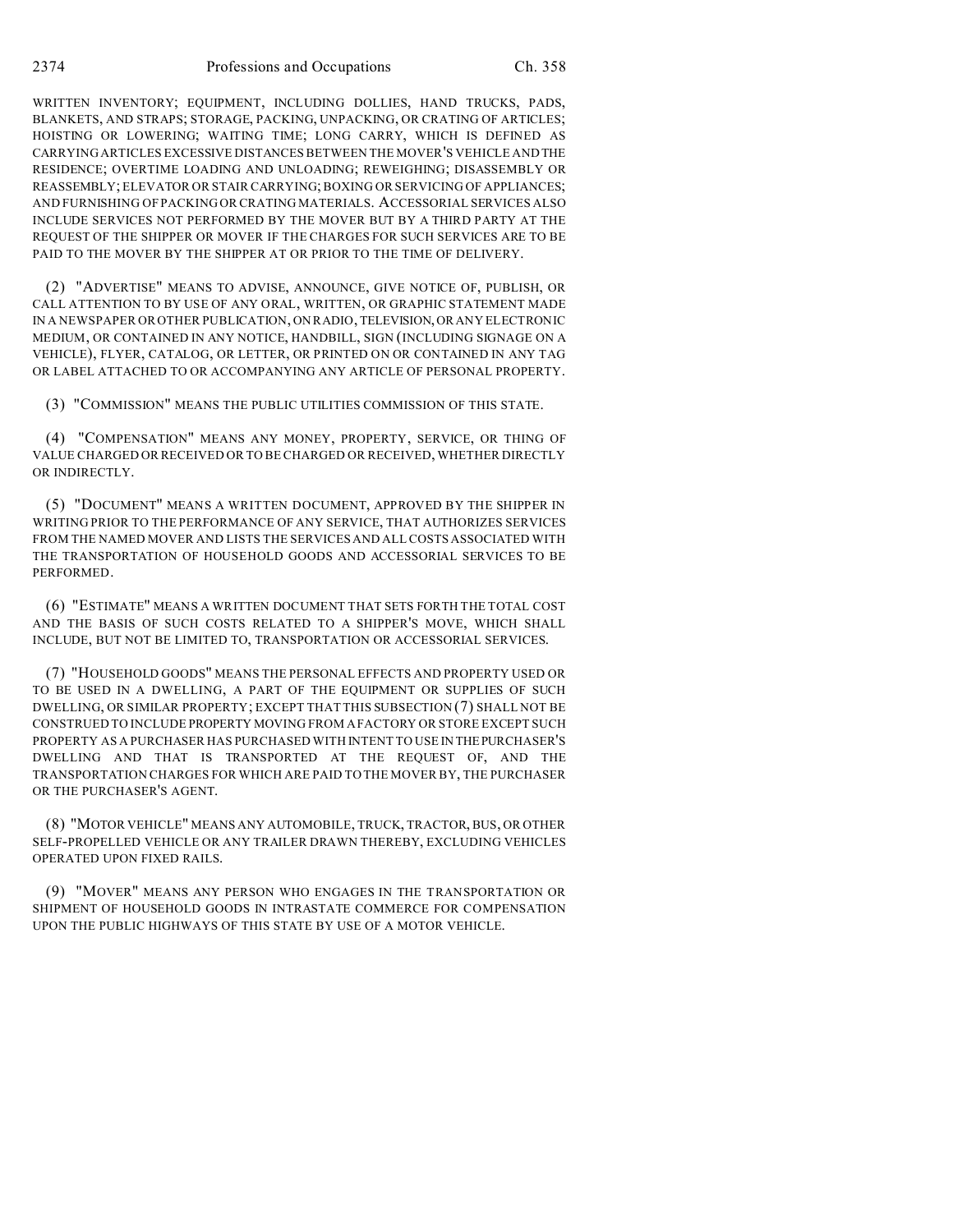WRITTEN INVENTORY; EQUIPMENT, INCLUDING DOLLIES, HAND TRUCKS, PADS, BLANKETS, AND STRAPS; STORAGE, PACKING, UNPACKING, OR CRATING OF ARTICLES; HOISTING OR LOWERING; WAITING TIME; LONG CARRY, WHICH IS DEFINED AS CARRYING ARTICLES EXCESSIVE DISTANCES BETWEEN THE MOVER'S VEHICLE AND THE RESIDENCE; OVERTIME LOADING AND UNLOADING; REWEIGHING; DISASSEMBLY OR REASSEMBLY; ELEVATOR OR STAIR CARRYING; BOXING OR SERVICING OF APPLIANCES; AND FURNISHING OF PACKING OR CRATING MATERIALS. ACCESSORIAL SERVICES ALSO INCLUDE SERVICES NOT PERFORMED BY THE MOVER BUT BY A THIRD PARTY AT THE REQUEST OF THE SHIPPER OR MOVER IF THE CHARGES FOR SUCH SERVICES ARE TO BE PAID TO THE MOVER BY THE SHIPPER AT OR PRIOR TO THE TIME OF DELIVERY.

(2) "ADVERTISE" MEANS TO ADVISE, ANNOUNCE, GIVE NOTICE OF, PUBLISH, OR CALL ATTENTION TO BY USE OF ANY ORAL, WRITTEN, OR GRAPHIC STATEMENT MADE IN A NEWSPAPER OR OTHER PUBLICATION, ON RADIO, TELEVISION, OR ANY ELECTRONIC MEDIUM, OR CONTAINED IN ANY NOTICE, HANDBILL, SIGN (INCLUDING SIGNAGE ON A VEHICLE), FLYER, CATALOG, OR LETTER, OR PRINTED ON OR CONTAINED IN ANY TAG OR LABEL ATTACHED TO OR ACCOMPANYING ANY ARTICLE OF PERSONAL PROPERTY.

(3) "COMMISSION" MEANS THE PUBLIC UTILITIES COMMISSION OF THIS STATE.

(4) "COMPENSATION" MEANS ANY MONEY, PROPERTY, SERVICE, OR THING OF VALUE CHARGED OR RECEIVED OR TO BE CHARGED OR RECEIVED, WHETHER DIRECTLY OR INDIRECTLY.

(5) "DOCUMENT" MEANS A WRITTEN DOCUMENT, APPROVED BY THE SHIPPER IN WRITING PRIOR TO THE PERFORMANCE OF ANY SERVICE, THAT AUTHORIZES SERVICES FROM THE NAMED MOVER AND LISTS THE SERVICES AND ALL COSTS ASSOCIATED WITH THE TRANSPORTATION OF HOUSEHOLD GOODS AND ACCESSORIAL SERVICES TO BE PERFORMED.

(6) "ESTIMATE" MEANS A WRITTEN DOCUMENT THAT SETS FORTH THE TOTAL COST AND THE BASIS OF SUCH COSTS RELATED TO A SHIPPER'S MOVE, WHICH SHALL INCLUDE, BUT NOT BE LIMITED TO, TRANSPORTATION OR ACCESSORIAL SERVICES.

(7) "HOUSEHOLD GOODS" MEANS THE PERSONAL EFFECTS AND PROPERTY USED OR TO BE USED IN A DWELLING, A PART OF THE EQUIPMENT OR SUPPLIES OF SUCH DWELLING, OR SIMILAR PROPERTY; EXCEPT THAT THIS SUBSECTION (7) SHALL NOT BE CONSTRUED TO INCLUDE PROPERTY MOVING FROM A FACTORY OR STORE EXCEPT SUCH PROPERTY AS A PURCHASER HAS PURCHASED WITH INTENT TO USE IN THEPURCHASER'S DWELLING AND THAT IS TRANSPORTED AT THE REQUEST OF, AND THE TRANSPORTATION CHARGES FOR WHICH ARE PAID TO THE MOVER BY, THE PURCHASER OR THE PURCHASER'S AGENT.

(8) "MOTOR VEHICLE" MEANS ANY AUTOMOBILE, TRUCK, TRACTOR, BUS, OR OTHER SELF-PROPELLED VEHICLE OR ANY TRAILER DRAWN THEREBY, EXCLUDING VEHICLES OPERATED UPON FIXED RAILS.

(9) "MOVER" MEANS ANY PERSON WHO ENGAGES IN THE TRANSPORTATION OR SHIPMENT OF HOUSEHOLD GOODS IN INTRASTATE COMMERCE FOR COMPENSATION UPON THE PUBLIC HIGHWAYS OF THIS STATE BY USE OF A MOTOR VEHICLE.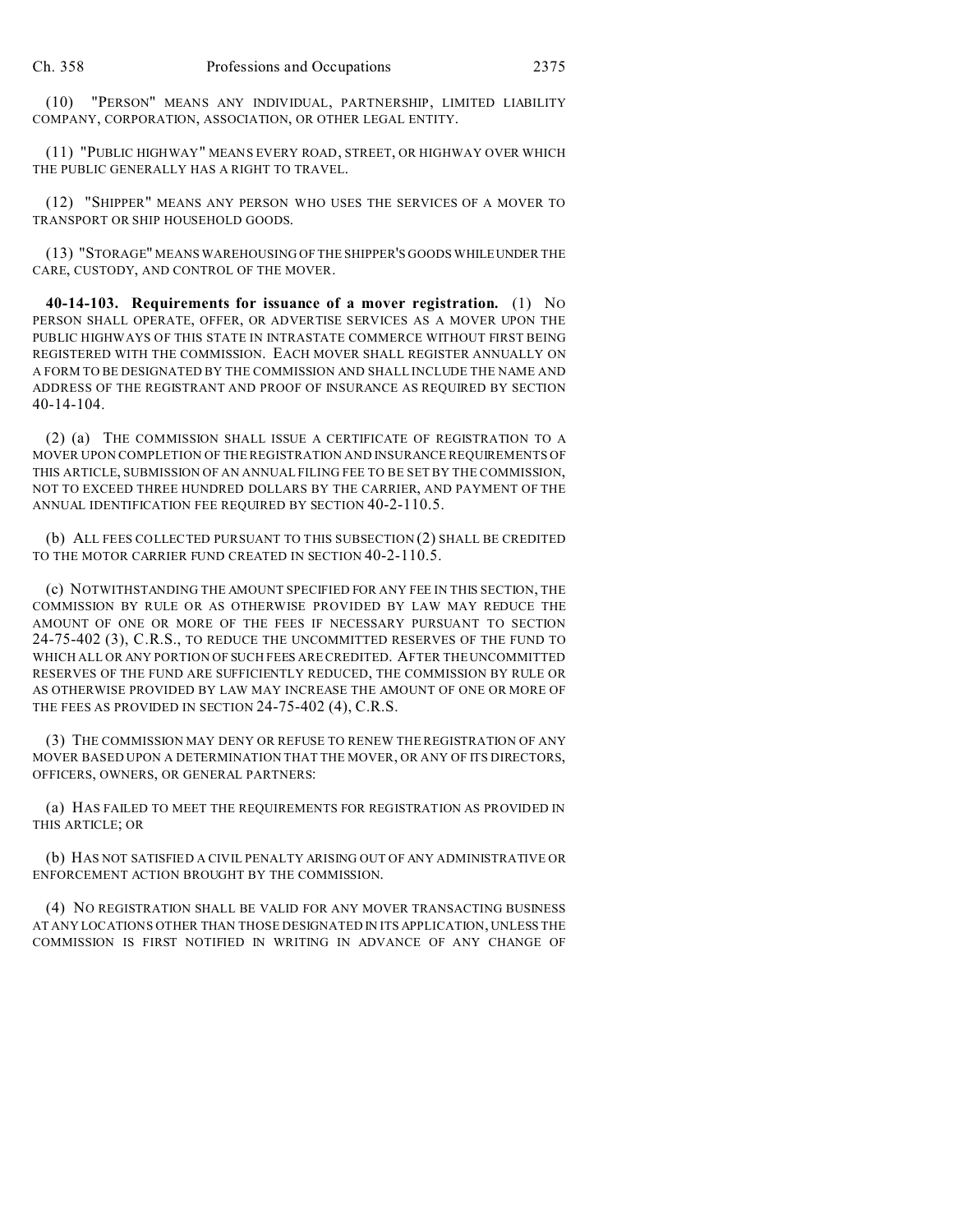(10) "PERSON" MEANS ANY INDIVIDUAL, PARTNERSHIP, LIMITED LIABILITY COMPANY, CORPORATION, ASSOCIATION, OR OTHER LEGAL ENTITY.

(11) "PUBLIC HIGHWAY" MEANS EVERY ROAD, STREET, OR HIGHWAY OVER WHICH THE PUBLIC GENERALLY HAS A RIGHT TO TRAVEL.

(12) "SHIPPER" MEANS ANY PERSON WHO USES THE SERVICES OF A MOVER TO TRANSPORT OR SHIP HOUSEHOLD GOODS.

(13) "STORAGE" MEANS WAREHOUSING OF THE SHIPPER'S GOODS WHILEUNDER THE CARE, CUSTODY, AND CONTROL OF THE MOVER.

**40-14-103. Requirements for issuance of a mover registration.** (1) NO PERSON SHALL OPERATE, OFFER, OR ADVERTISE SERVICES AS A MOVER UPON THE PUBLIC HIGHWAYS OF THIS STATE IN INTRASTATE COMMERCE WITHOUT FIRST BEING REGISTERED WITH THE COMMISSION. EACH MOVER SHALL REGISTER ANNUALLY ON A FORM TO BE DESIGNATED BY THE COMMISSION AND SHALL INCLUDE THE NAME AND ADDRESS OF THE REGISTRANT AND PROOF OF INSURANCE AS REQUIRED BY SECTION 40-14-104.

(2) (a) THE COMMISSION SHALL ISSUE A CERTIFICATE OF REGISTRATION TO A MOVER UPON COMPLETION OF THE REGISTRATION AND INSURANCE REQUIREMENTS OF THIS ARTICLE, SUBMISSION OF AN ANNUAL FILING FEE TO BE SET BY THE COMMISSION, NOT TO EXCEED THREE HUNDRED DOLLARS BY THE CARRIER, AND PAYMENT OF THE ANNUAL IDENTIFICATION FEE REQUIRED BY SECTION 40-2-110.5.

(b) ALL FEES COLLECTED PURSUANT TO THIS SUBSECTION (2) SHALL BE CREDITED TO THE MOTOR CARRIER FUND CREATED IN SECTION 40-2-110.5.

(c) NOTWITHSTANDING THE AMOUNT SPECIFIED FOR ANY FEE IN THIS SECTION, THE COMMISSION BY RULE OR AS OTHERWISE PROVIDED BY LAW MAY REDUCE THE AMOUNT OF ONE OR MORE OF THE FEES IF NECESSARY PURSUANT TO SECTION 24-75-402 (3), C.R.S., TO REDUCE THE UNCOMMITTED RESERVES OF THE FUND TO WHICH ALL OR ANY PORTION OF SUCH FEES ARE CREDITED. AFTER THE UNCOMMITTED RESERVES OF THE FUND ARE SUFFICIENTLY REDUCED, THE COMMISSION BY RULE OR AS OTHERWISE PROVIDED BY LAW MAY INCREASE THE AMOUNT OF ONE OR MORE OF THE FEES AS PROVIDED IN SECTION 24-75-402 (4), C.R.S.

(3) THE COMMISSION MAY DENY OR REFUSE TO RENEW THE REGISTRATION OF ANY MOVER BASED UPON A DETERMINATION THAT THE MOVER, OR ANY OF ITS DIRECTORS, OFFICERS, OWNERS, OR GENERAL PARTNERS:

(a) HAS FAILED TO MEET THE REQUIREMENTS FOR REGISTRATION AS PROVIDED IN THIS ARTICLE; OR

(b) HAS NOT SATISFIED A CIVIL PENALTY ARISING OUT OF ANY ADMINISTRATIVE OR ENFORCEMENT ACTION BROUGHT BY THE COMMISSION.

(4) NO REGISTRATION SHALL BE VALID FOR ANY MOVER TRANSACTING BUSINESS AT ANY LOCATIONS OTHER THAN THOSE DESIGNATED IN ITS APPLICATION, UNLESS THE COMMISSION IS FIRST NOTIFIED IN WRITING IN ADVANCE OF ANY CHANGE OF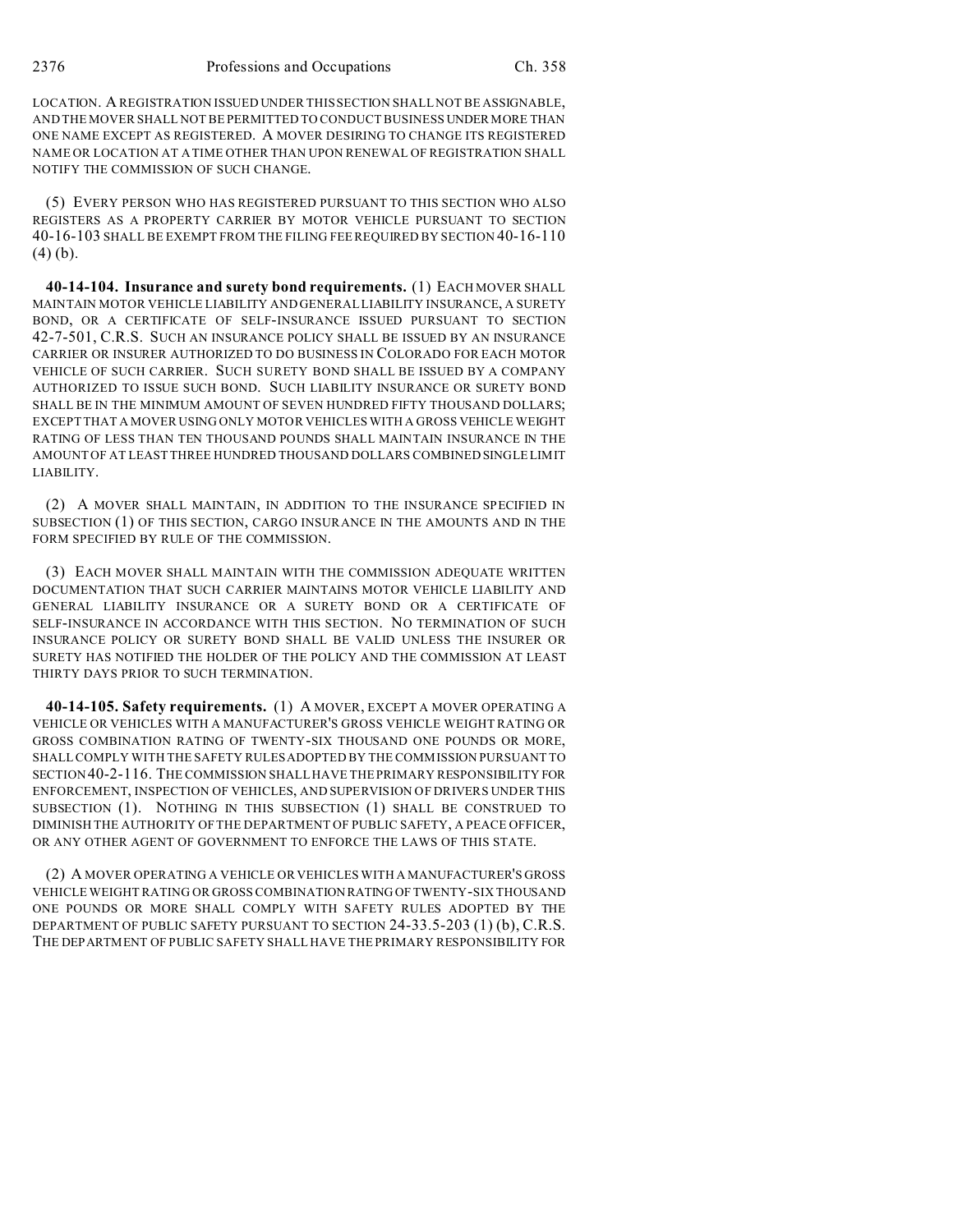LOCATION. A REGISTRATION ISSUED UNDER THIS SECTION SHALL NOT BE ASSIGNABLE, AND THE MOVER SHALL NOT BE PERMITTED TO CONDUCT BUSINESS UNDER MORE THAN ONE NAME EXCEPT AS REGISTERED. A MOVER DESIRING TO CHANGE ITS REGISTERED NAME OR LOCATION AT A TIME OTHER THAN UPON RENEWAL OF REGISTRATION SHALL NOTIFY THE COMMISSION OF SUCH CHANGE.

(5) EVERY PERSON WHO HAS REGISTERED PURSUANT TO THIS SECTION WHO ALSO REGISTERS AS A PROPERTY CARRIER BY MOTOR VEHICLE PURSUANT TO SECTION 40-16-103 SHALL BE EXEMPT FROM THE FILING FEE REQUIRED BY SECTION 40-16-110  $(4)$  (b).

**40-14-104. Insurance and surety bond requirements.** (1) EACH MOVER SHALL MAINTAIN MOTOR VEHICLE LIABILITY AND GENERAL LIABILITY INSURANCE, A SURETY BOND, OR A CERTIFICATE OF SELF-INSURANCE ISSUED PURSUANT TO SECTION 42-7-501, C.R.S. SUCH AN INSURANCE POLICY SHALL BE ISSUED BY AN INSURANCE CARRIER OR INSURER AUTHORIZED TO DO BUSINESS IN COLORADO FOR EACH MOTOR VEHICLE OF SUCH CARRIER. SUCH SURETY BOND SHALL BE ISSUED BY A COMPANY AUTHORIZED TO ISSUE SUCH BOND. SUCH LIABILITY INSURANCE OR SURETY BOND SHALL BE IN THE MINIMUM AMOUNT OF SEVEN HUNDRED FIFTY THOUSAND DOLLARS; EXCEPT THAT A MOVER USING ONLY MOTOR VEHICLES WITH A GROSS VEHICLE WEIGHT RATING OF LESS THAN TEN THOUSAND POUNDS SHALL MAINTAIN INSURANCE IN THE AMOUNT OF AT LEAST THREE HUNDRED THOUSAND DOLLARS COMBINED SINGLE LIMIT LIABILITY.

(2) A MOVER SHALL MAINTAIN, IN ADDITION TO THE INSURANCE SPECIFIED IN SUBSECTION (1) OF THIS SECTION, CARGO INSURANCE IN THE AMOUNTS AND IN THE FORM SPECIFIED BY RULE OF THE COMMISSION.

(3) EACH MOVER SHALL MAINTAIN WITH THE COMMISSION ADEQUATE WRITTEN DOCUMENTATION THAT SUCH CARRIER MAINTAINS MOTOR VEHICLE LIABILITY AND GENERAL LIABILITY INSURANCE OR A SURETY BOND OR A CERTIFICATE OF SELF-INSURANCE IN ACCORDANCE WITH THIS SECTION. NO TERMINATION OF SUCH INSURANCE POLICY OR SURETY BOND SHALL BE VALID UNLESS THE INSURER OR SURETY HAS NOTIFIED THE HOLDER OF THE POLICY AND THE COMMISSION AT LEAST THIRTY DAYS PRIOR TO SUCH TERMINATION.

**40-14-105. Safety requirements.** (1) A MOVER, EXCEPT A MOVER OPERATING A VEHICLE OR VEHICLES WITH A MANUFACTURER'S GROSS VEHICLE WEIGHT RATING OR GROSS COMBINATION RATING OF TWENTY-SIX THOUSAND ONE POUNDS OR MORE, SHALL COMPLY WITH THE SAFETY RULES ADOPTED BY THE COMMISSION PURSUANT TO SECTION40-2-116. THE COMMISSION SHALL HAVE THE PRIMARY RESPONSIBILITY FOR ENFORCEMENT, INSPECTION OF VEHICLES, AND SUPERVISION OF DRIVERS UNDER THIS SUBSECTION (1). NOTHING IN THIS SUBSECTION (1) SHALL BE CONSTRUED TO DIMINISH THE AUTHORITY OF THE DEPARTMENT OF PUBLIC SAFETY, A PEACE OFFICER, OR ANY OTHER AGENT OF GOVERNMENT TO ENFORCE THE LAWS OF THIS STATE.

(2) A MOVER OPERATING A VEHICLE OR VEHICLES WITH A MANUFACTURER'S GROSS VEHICLE WEIGHT RATING OR GROSS COMBINATION RATING OF TWENTY-SIX THOUSAND ONE POUNDS OR MORE SHALL COMPLY WITH SAFETY RULES ADOPTED BY THE DEPARTMENT OF PUBLIC SAFETY PURSUANT TO SECTION 24-33.5-203 (1) (b), C.R.S. THE DEPARTMENT OF PUBLIC SAFETY SHALL HAVE THE PRIMARY RESPONSIBILITY FOR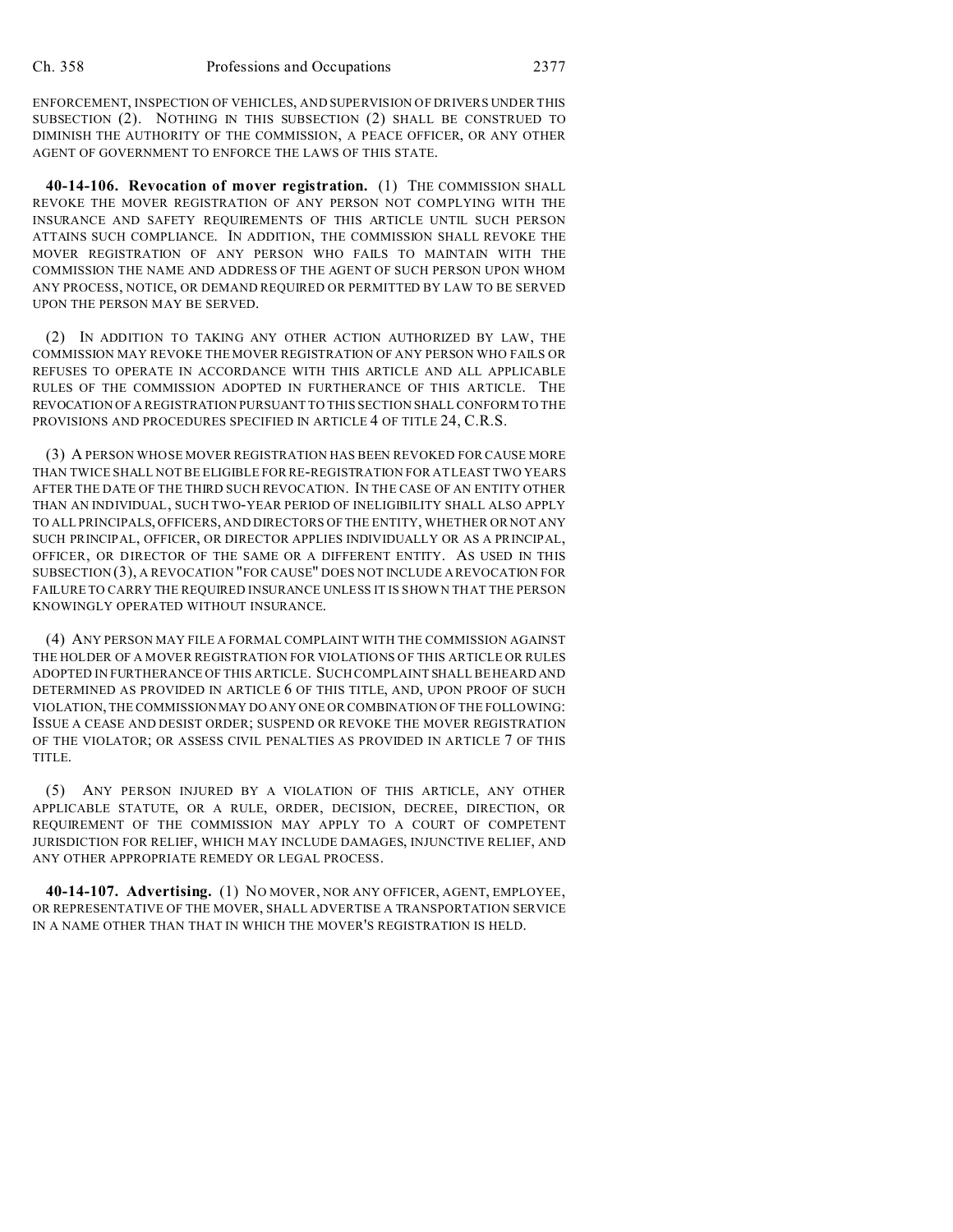ENFORCEMENT, INSPECTION OF VEHICLES, AND SUPERVISION OF DRIVERS UNDER THIS SUBSECTION (2). NOTHING IN THIS SUBSECTION (2) SHALL BE CONSTRUED TO DIMINISH THE AUTHORITY OF THE COMMISSION, A PEACE OFFICER, OR ANY OTHER AGENT OF GOVERNMENT TO ENFORCE THE LAWS OF THIS STATE.

**40-14-106. Revocation of mover registration.** (1) THE COMMISSION SHALL REVOKE THE MOVER REGISTRATION OF ANY PERSON NOT COMPLYING WITH THE INSURANCE AND SAFETY REQUIREMENTS OF THIS ARTICLE UNTIL SUCH PERSON ATTAINS SUCH COMPLIANCE. IN ADDITION, THE COMMISSION SHALL REVOKE THE MOVER REGISTRATION OF ANY PERSON WHO FAILS TO MAINTAIN WITH THE COMMISSION THE NAME AND ADDRESS OF THE AGENT OF SUCH PERSON UPON WHOM ANY PROCESS, NOTICE, OR DEMAND REQUIRED OR PERMITTED BY LAW TO BE SERVED UPON THE PERSON MAY BE SERVED.

(2) IN ADDITION TO TAKING ANY OTHER ACTION AUTHORIZED BY LAW, THE COMMISSION MAY REVOKE THE MOVER REGISTRATION OF ANY PERSON WHO FAILS OR REFUSES TO OPERATE IN ACCORDANCE WITH THIS ARTICLE AND ALL APPLICABLE RULES OF THE COMMISSION ADOPTED IN FURTHERANCE OF THIS ARTICLE. THE REVOCATION OF A REGISTRATION PURSUANT TO THIS SECTION SHALL CONFORM TO THE PROVISIONS AND PROCEDURES SPECIFIED IN ARTICLE 4 OF TITLE 24, C.R.S.

(3) A PERSON WHOSE MOVER REGISTRATION HAS BEEN REVOKED FOR CAUSE MORE THAN TWICE SHALL NOT BE ELIGIBLE FOR RE-REGISTRATION FOR AT LEAST TWO YEARS AFTER THE DATE OF THE THIRD SUCH REVOCATION. IN THE CASE OF AN ENTITY OTHER THAN AN INDIVIDUAL, SUCH TWO-YEAR PERIOD OF INELIGIBILITY SHALL ALSO APPLY TO ALL PRINCIPALS, OFFICERS, AND DIRECTORS OF THE ENTITY, WHETHER OR NOT ANY SUCH PRINCIPAL, OFFICER, OR DIRECTOR APPLIES INDIVIDUALLY OR AS A PRINCIPAL, OFFICER, OR DIRECTOR OF THE SAME OR A DIFFERENT ENTITY. AS USED IN THIS SUBSECTION (3), A REVOCATION "FOR CAUSE" DOES NOT INCLUDE A REVOCATION FOR FAILURE TO CARRY THE REQUIRED INSURANCE UNLESS IT IS SHOWN THAT THE PERSON KNOWINGLY OPERATED WITHOUT INSURANCE.

(4) ANY PERSON MAY FILE A FORMAL COMPLAINT WITH THE COMMISSION AGAINST THE HOLDER OF A MOVER REGISTRATION FOR VIOLATIONS OF THIS ARTICLE OR RULES ADOPTED IN FURTHERANCE OF THIS ARTICLE. SUCH COMPLAINT SHALL BE HEARD AND DETERMINED AS PROVIDED IN ARTICLE 6 OF THIS TITLE, AND, UPON PROOF OF SUCH VIOLATION, THE COMMISSIONMAY DO ANY ONE OR COMBINATION OF THE FOLLOWING: ISSUE A CEASE AND DESIST ORDER; SUSPEND OR REVOKE THE MOVER REGISTRATION OF THE VIOLATOR; OR ASSESS CIVIL PENALTIES AS PROVIDED IN ARTICLE 7 OF THIS TITLE.

(5) ANY PERSON INJURED BY A VIOLATION OF THIS ARTICLE, ANY OTHER APPLICABLE STATUTE, OR A RULE, ORDER, DECISION, DECREE, DIRECTION, OR REQUIREMENT OF THE COMMISSION MAY APPLY TO A COURT OF COMPETENT JURISDICTION FOR RELIEF, WHICH MAY INCLUDE DAMAGES, INJUNCTIVE RELIEF, AND ANY OTHER APPROPRIATE REMEDY OR LEGAL PROCESS.

**40-14-107. Advertising.** (1) NO MOVER, NOR ANY OFFICER, AGENT, EMPLOYEE, OR REPRESENTATIVE OF THE MOVER, SHALL ADVERTISE A TRANSPORTATION SERVICE IN A NAME OTHER THAN THAT IN WHICH THE MOVER'S REGISTRATION IS HELD.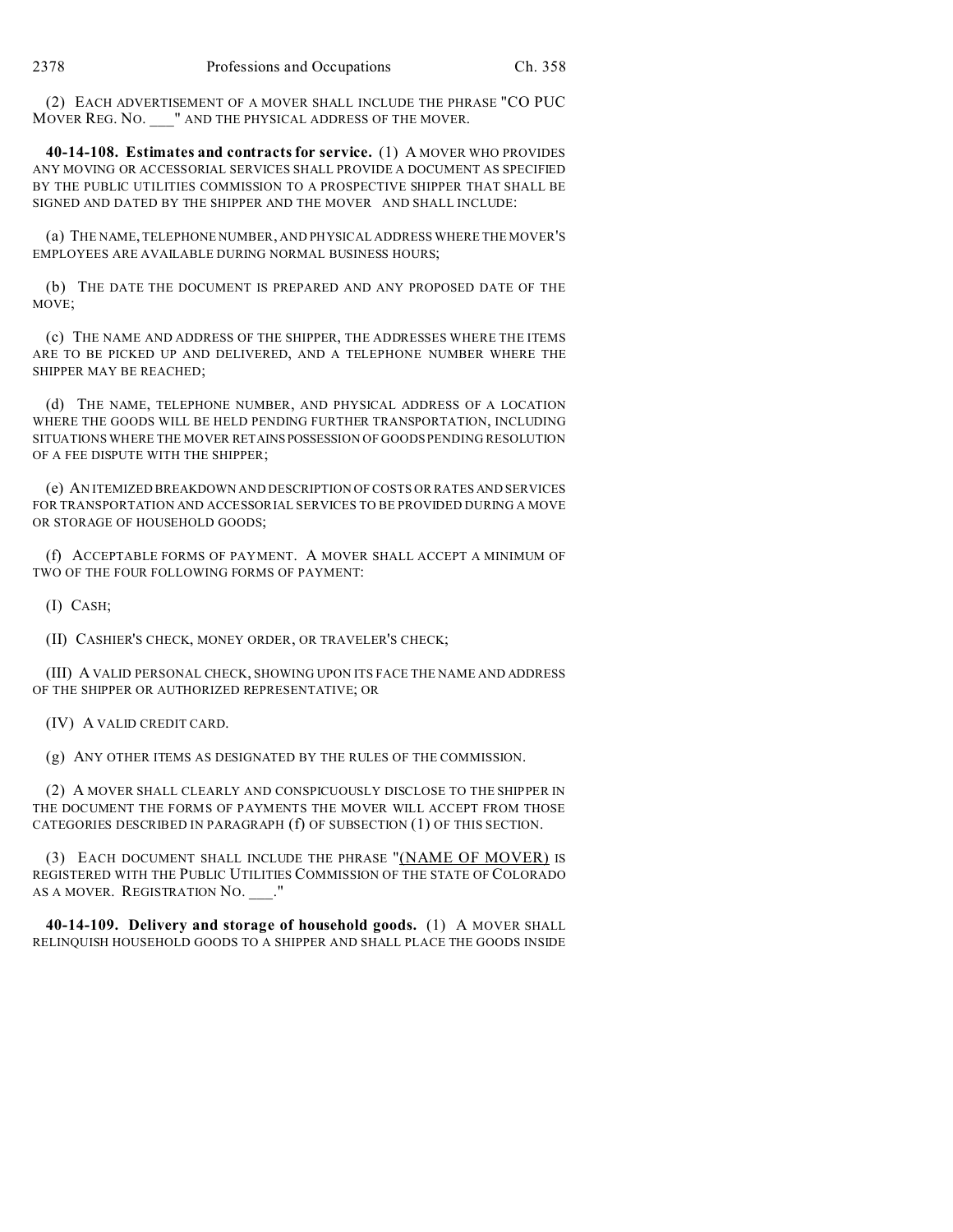(2) EACH ADVERTISEMENT OF A MOVER SHALL INCLUDE THE PHRASE "CO PUC MOVER REG. NO. \_\_\_" AND THE PHYSICAL ADDRESS OF THE MOVER.

**40-14-108. Estimates and contracts for service.** (1) A MOVER WHO PROVIDES ANY MOVING OR ACCESSORIAL SERVICES SHALL PROVIDE A DOCUMENT AS SPECIFIED BY THE PUBLIC UTILITIES COMMISSION TO A PROSPECTIVE SHIPPER THAT SHALL BE SIGNED AND DATED BY THE SHIPPER AND THE MOVER AND SHALL INCLUDE:

(a) THE NAME, TELEPHONE NUMBER, AND PHYSICAL ADDRESS WHERE THE MOVER'S EMPLOYEES ARE AVAILABLE DURING NORMAL BUSINESS HOURS;

(b) THE DATE THE DOCUMENT IS PREPARED AND ANY PROPOSED DATE OF THE MOVE;

(c) THE NAME AND ADDRESS OF THE SHIPPER, THE ADDRESSES WHERE THE ITEMS ARE TO BE PICKED UP AND DELIVERED, AND A TELEPHONE NUMBER WHERE THE SHIPPER MAY BE REACHED;

(d) THE NAME, TELEPHONE NUMBER, AND PHYSICAL ADDRESS OF A LOCATION WHERE THE GOODS WILL BE HELD PENDING FURTHER TRANSPORTATION, INCLUDING SITUATIONS WHERE THE MOVER RETAINSPOSSESSION OF GOODS PENDING RESOLUTION OF A FEE DISPUTE WITH THE SHIPPER;

(e) AN ITEMIZED BREAKDOWN AND DESCRIPTION OF COSTS OR RATES AND SERVICES FOR TRANSPORTATION AND ACCESSORIAL SERVICES TO BE PROVIDED DURING A MOVE OR STORAGE OF HOUSEHOLD GOODS;

(f) ACCEPTABLE FORMS OF PAYMENT. A MOVER SHALL ACCEPT A MINIMUM OF TWO OF THE FOUR FOLLOWING FORMS OF PAYMENT:

(I) CASH;

(II) CASHIER'S CHECK, MONEY ORDER, OR TRAVELER'S CHECK;

(III) A VALID PERSONAL CHECK, SHOWING UPON ITS FACE THE NAME AND ADDRESS OF THE SHIPPER OR AUTHORIZED REPRESENTATIVE; OR

(IV) A VALID CREDIT CARD.

(g) ANY OTHER ITEMS AS DESIGNATED BY THE RULES OF THE COMMISSION.

(2) A MOVER SHALL CLEARLY AND CONSPICUOUSLY DISCLOSE TO THE SHIPPER IN THE DOCUMENT THE FORMS OF PAYMENTS THE MOVER WILL ACCEPT FROM THOSE CATEGORIES DESCRIBED IN PARAGRAPH (f) OF SUBSECTION (1) OF THIS SECTION.

(3) EACH DOCUMENT SHALL INCLUDE THE PHRASE "(NAME OF MOVER) IS REGISTERED WITH THE PUBLIC UTILITIES COMMISSION OF THE STATE OF COLORADO AS A MOVER. REGISTRATION NO.  $"$ 

**40-14-109. Delivery and storage of household goods.** (1) A MOVER SHALL RELINQUISH HOUSEHOLD GOODS TO A SHIPPER AND SHALL PLACE THE GOODS INSIDE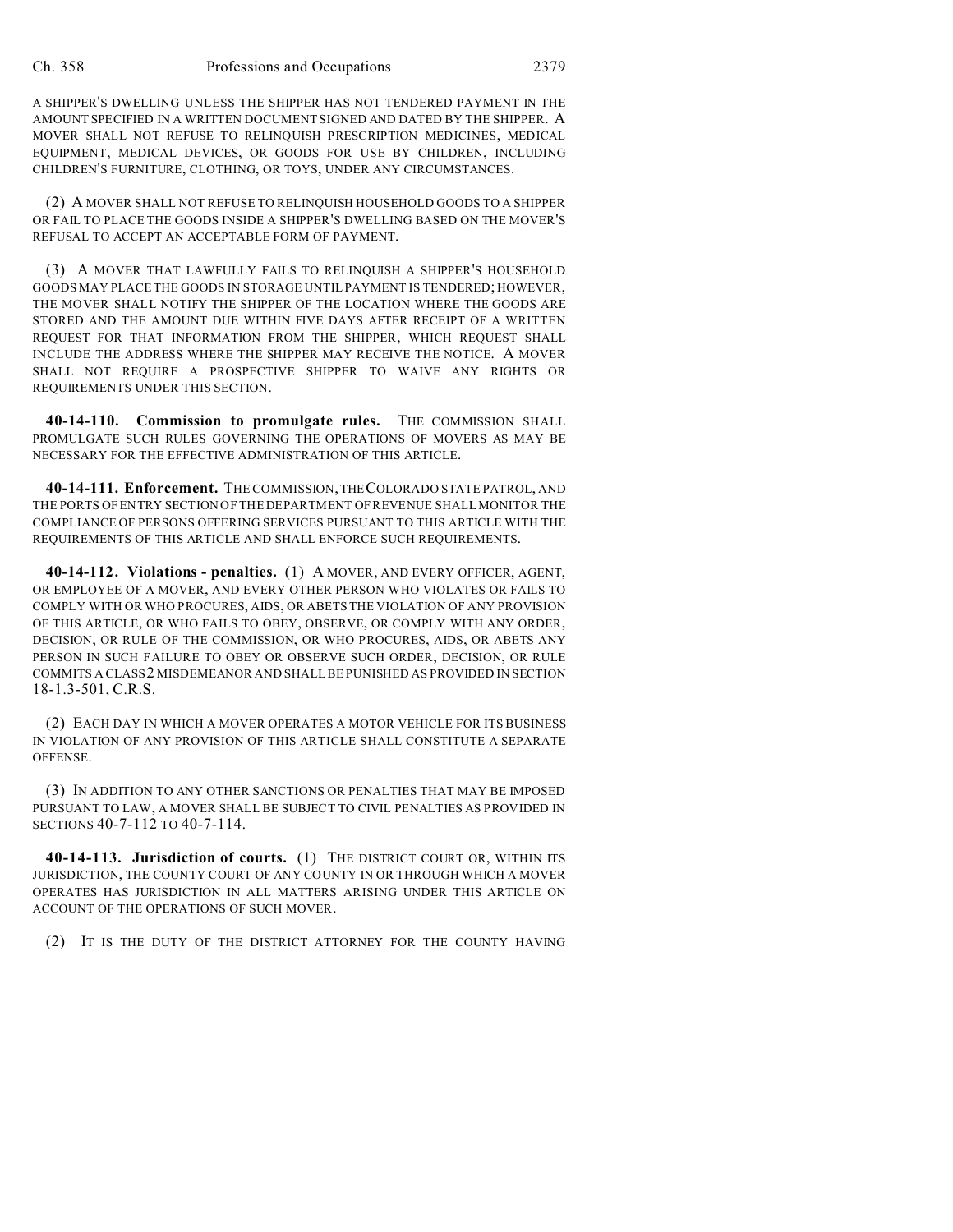A SHIPPER'S DWELLING UNLESS THE SHIPPER HAS NOT TENDERED PAYMENT IN THE AMOUNT SPECIFIED IN A WRITTEN DOCUMENT SIGNED AND DATED BY THE SHIPPER. A MOVER SHALL NOT REFUSE TO RELINQUISH PRESCRIPTION MEDICINES, MEDICAL EQUIPMENT, MEDICAL DEVICES, OR GOODS FOR USE BY CHILDREN, INCLUDING CHILDREN'S FURNITURE, CLOTHING, OR TOYS, UNDER ANY CIRCUMSTANCES.

(2) A MOVER SHALL NOT REFUSE TO RELINQUISH HOUSEHOLD GOODS TO A SHIPPER OR FAIL TO PLACE THE GOODS INSIDE A SHIPPER'S DWELLING BASED ON THE MOVER'S REFUSAL TO ACCEPT AN ACCEPTABLE FORM OF PAYMENT.

(3) A MOVER THAT LAWFULLY FAILS TO RELINQUISH A SHIPPER'S HOUSEHOLD GOODS MAY PLACE THE GOODS IN STORAGE UNTIL PAYMENT IS TENDERED; HOWEVER, THE MOVER SHALL NOTIFY THE SHIPPER OF THE LOCATION WHERE THE GOODS ARE STORED AND THE AMOUNT DUE WITHIN FIVE DAYS AFTER RECEIPT OF A WRITTEN REQUEST FOR THAT INFORMATION FROM THE SHIPPER, WHICH REQUEST SHALL INCLUDE THE ADDRESS WHERE THE SHIPPER MAY RECEIVE THE NOTICE. A MOVER SHALL NOT REQUIRE A PROSPECTIVE SHIPPER TO WAIVE ANY RIGHTS OR REQUIREMENTS UNDER THIS SECTION.

**40-14-110. Commission to promulgate rules.** THE COMMISSION SHALL PROMULGATE SUCH RULES GOVERNING THE OPERATIONS OF MOVERS AS MAY BE NECESSARY FOR THE EFFECTIVE ADMINISTRATION OF THIS ARTICLE.

**40-14-111. Enforcement.** THE COMMISSION,THECOLORADO STATE PATROL, AND THE PORTS OF ENTRY SECTION OF THE DEPARTMENT OF REVENUE SHALL MONITOR THE COMPLIANCE OF PERSONS OFFERING SERVICES PURSUANT TO THIS ARTICLE WITH THE REQUIREMENTS OF THIS ARTICLE AND SHALL ENFORCE SUCH REQUIREMENTS.

**40-14-112. Violations - penalties.** (1) A MOVER, AND EVERY OFFICER, AGENT, OR EMPLOYEE OF A MOVER, AND EVERY OTHER PERSON WHO VIOLATES OR FAILS TO COMPLY WITH OR WHO PROCURES, AIDS, OR ABETS THE VIOLATION OF ANY PROVISION OF THIS ARTICLE, OR WHO FAILS TO OBEY, OBSERVE, OR COMPLY WITH ANY ORDER, DECISION, OR RULE OF THE COMMISSION, OR WHO PROCURES, AIDS, OR ABETS ANY PERSON IN SUCH FAILURE TO OBEY OR OBSERVE SUCH ORDER, DECISION, OR RULE COMMITS A CLASS2 MISDEMEANOR AND SHALL BE PUNISHED AS PROVIDED IN SECTION 18-1.3-501, C.R.S.

(2) EACH DAY IN WHICH A MOVER OPERATES A MOTOR VEHICLE FOR ITS BUSINESS IN VIOLATION OF ANY PROVISION OF THIS ARTICLE SHALL CONSTITUTE A SEPARATE OFFENSE.

(3) IN ADDITION TO ANY OTHER SANCTIONS OR PENALTIES THAT MAY BE IMPOSED PURSUANT TO LAW, A MOVER SHALL BE SUBJECT TO CIVIL PENALTIES AS PROVIDED IN SECTIONS 40-7-112 TO 40-7-114.

**40-14-113. Jurisdiction of courts.** (1) THE DISTRICT COURT OR, WITHIN ITS JURISDICTION, THE COUNTY COURT OF ANY COUNTY IN OR THROUGH WHICH A MOVER OPERATES HAS JURISDICTION IN ALL MATTERS ARISING UNDER THIS ARTICLE ON ACCOUNT OF THE OPERATIONS OF SUCH MOVER.

(2) IT IS THE DUTY OF THE DISTRICT ATTORNEY FOR THE COUNTY HAVING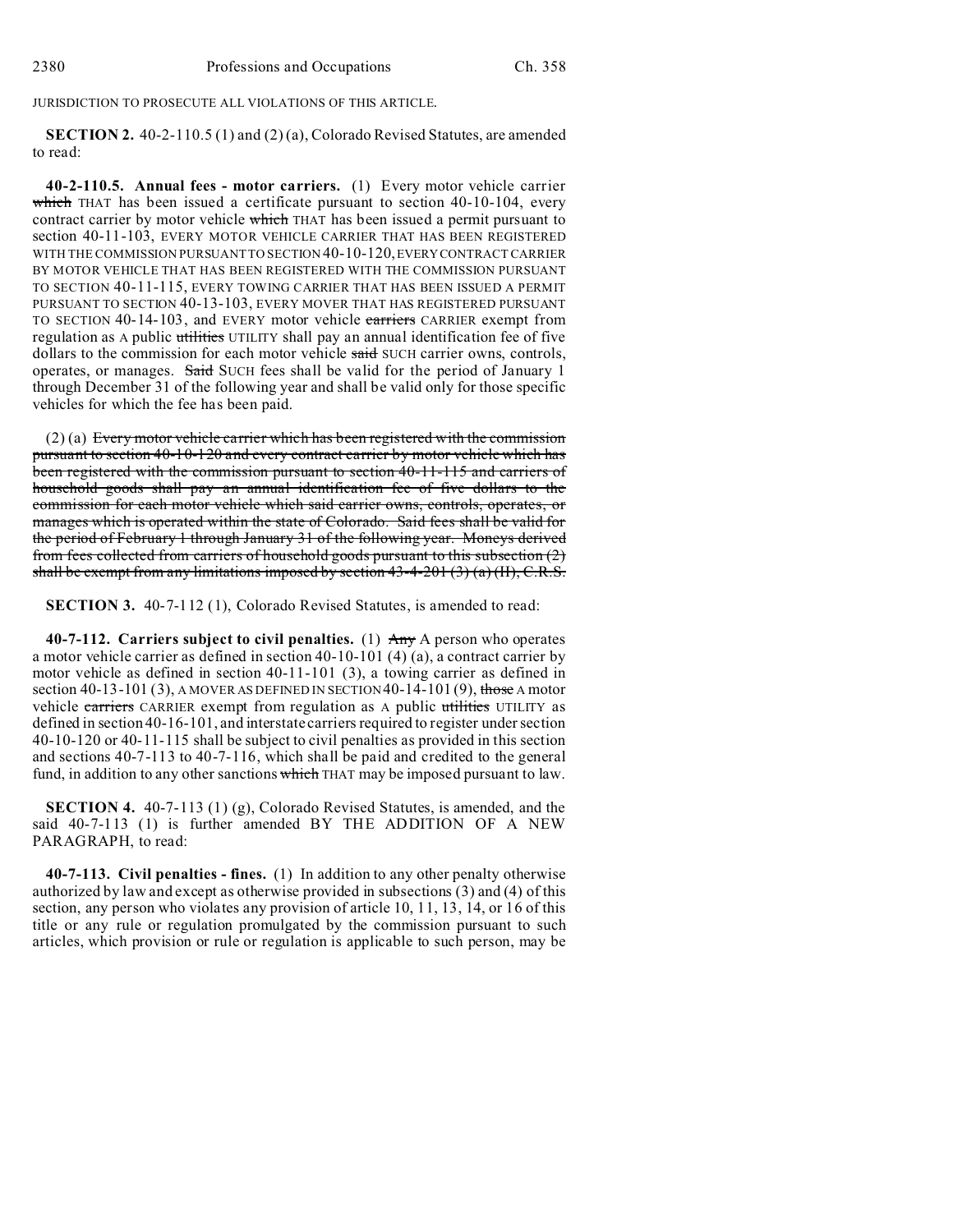JURISDICTION TO PROSECUTE ALL VIOLATIONS OF THIS ARTICLE.

**SECTION 2.** 40-2-110.5 (1) and (2) (a), Colorado Revised Statutes, are amended to read:

**40-2-110.5. Annual fees - motor carriers.** (1) Every motor vehicle carrier which THAT has been issued a certificate pursuant to section  $40-10-104$ , every contract carrier by motor vehicle which THAT has been issued a permit pursuant to section 40-11-103, EVERY MOTOR VEHICLE CARRIER THAT HAS BEEN REGISTERED WITH THE COMMISSION PURSUANT TO SECTION 40-10-120,EVERYCONTRACT CARRIER BY MOTOR VEHICLE THAT HAS BEEN REGISTERED WITH THE COMMISSION PURSUANT TO SECTION 40-11-115, EVERY TOWING CARRIER THAT HAS BEEN ISSUED A PERMIT PURSUANT TO SECTION 40-13-103, EVERY MOVER THAT HAS REGISTERED PURSUANT TO SECTION 40-14-103, and EVERY motor vehicle earriers CARRIER exempt from regulation as A public utilities UTILITY shall pay an annual identification fee of five dollars to the commission for each motor vehicle said SUCH carrier owns, controls, operates, or manages. Said SUCH fees shall be valid for the period of January 1 through December 31 of the following year and shall be valid only for those specific vehicles for which the fee has been paid.

(2) (a) Every motor vehicle carrier which has been registered with the commission pursuant to section 40-10-120 and every contract carrier by motor vehicle which has been registered with the commission pursuant to section 40-11-115 and carriers of household goods shall pay an annual identification fee of five dollars to the commission for each motor vehicle which said carrier owns, controls, operates, or manages which is operated within the state of Colorado. Said fees shall be valid for the period of February 1 through January 31 of the following year. Moneys derived from fees collected from carriers of household goods pursuant to this subsection (2) shall be exempt from any limitations imposed by section  $43-4-201(3)(a)(II)$ , C.R.S.

**SECTION 3.** 40-7-112 (1), Colorado Revised Statutes, is amended to read:

**40-7-112. Carriers subject to civil penalties.** (1) Any A person who operates a motor vehicle carrier as defined in section 40-10-101 (4) (a), a contract carrier by motor vehicle as defined in section 40-11-101 (3), a towing carrier as defined in section 40-13-101 (3), A MOVER AS DEFINED IN SECTION 40-14-101 (9), those A motor vehicle carriers CARRIER exempt from regulation as A public utilities UTILITY as defined in section 40-16-101, and interstate carriers required to register under section 40-10-120 or 40-11-115 shall be subject to civil penalties as provided in this section and sections 40-7-113 to 40-7-116, which shall be paid and credited to the general fund, in addition to any other sanctions which THAT may be imposed pursuant to law.

**SECTION 4.** 40-7-113 (1) (g), Colorado Revised Statutes, is amended, and the said 40-7-113 (1) is further amended BY THE ADDITION OF A NEW PARAGRAPH, to read:

**40-7-113. Civil penalties - fines.** (1) In addition to any other penalty otherwise authorized by law and except as otherwise provided in subsections (3) and (4) of this section, any person who violates any provision of article 10, 11, 13, 14, or 16 of this title or any rule or regulation promulgated by the commission pursuant to such articles, which provision or rule or regulation is applicable to such person, may be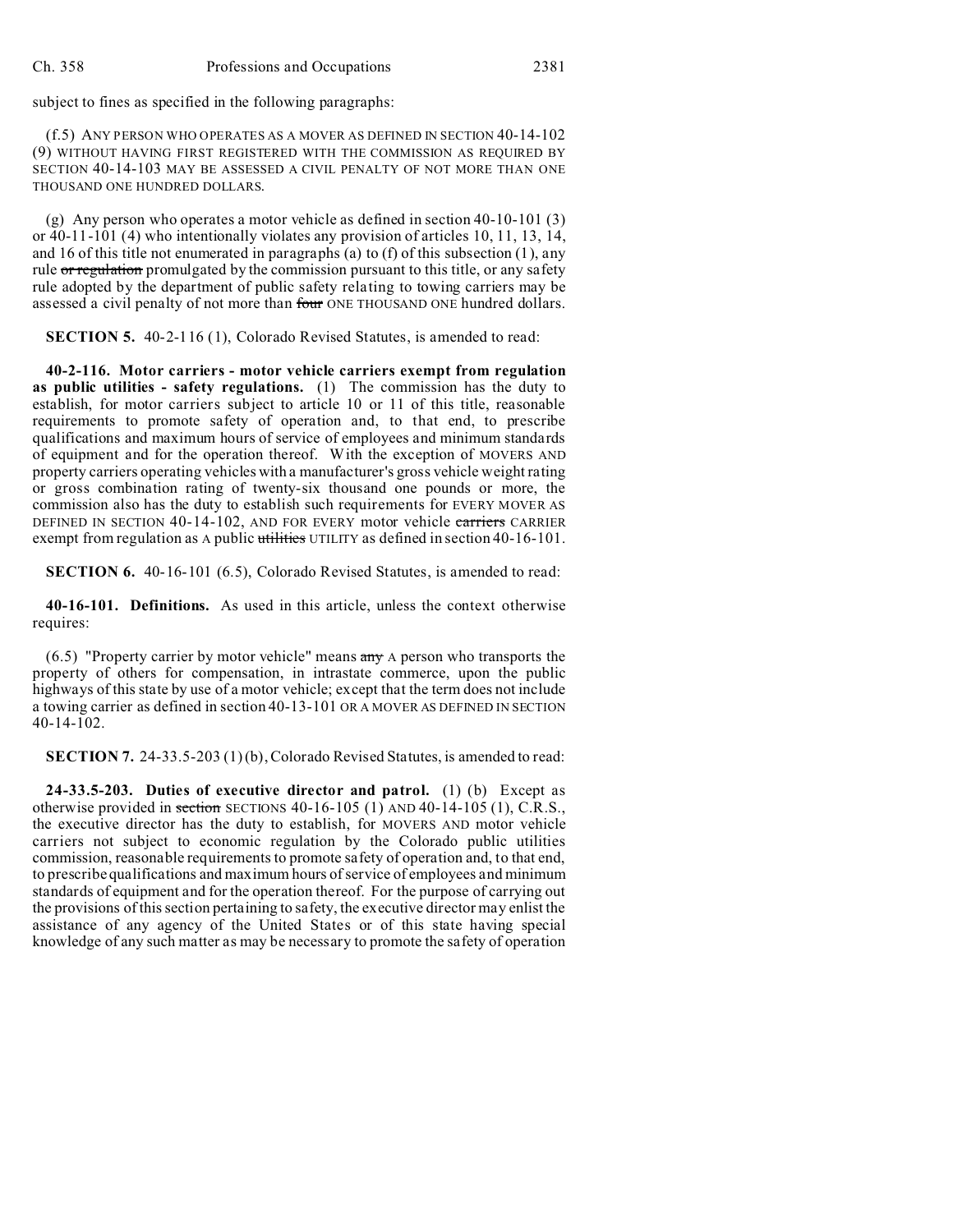subject to fines as specified in the following paragraphs:

(f.5) ANY PERSON WHO OPERATES AS A MOVER AS DEFINED IN SECTION 40-14-102 (9) WITHOUT HAVING FIRST REGISTERED WITH THE COMMISSION AS REQUIRED BY SECTION 40-14-103 MAY BE ASSESSED A CIVIL PENALTY OF NOT MORE THAN ONE THOUSAND ONE HUNDRED DOLLARS.

(g) Any person who operates a motor vehicle as defined in section 40-10-101 (3) or 40-11-101 (4) who intentionally violates any provision of articles 10, 11, 13, 14, and 16 of this title not enumerated in paragraphs (a) to (f) of this subsection (1), any rule or regulation promulgated by the commission pursuant to this title, or any safety rule adopted by the department of public safety relating to towing carriers may be assessed a civil penalty of not more than four ONE THOUSAND ONE hundred dollars.

**SECTION 5.** 40-2-116 (1), Colorado Revised Statutes, is amended to read:

**40-2-116. Motor carriers - motor vehicle carriers exempt from regulation as public utilities - safety regulations.** (1) The commission has the duty to establish, for motor carriers subject to article 10 or 11 of this title, reasonable requirements to promote safety of operation and, to that end, to prescribe qualifications and maximum hours of service of employees and minimum standards of equipment and for the operation thereof. With the exception of MOVERS AND property carriers operating vehicles with a manufacturer's gross vehicle weight rating or gross combination rating of twenty-six thousand one pounds or more, the commission also has the duty to establish such requirements for EVERY MOVER AS DEFINED IN SECTION 40-14-102, AND FOR EVERY motor vehicle carriers CARRIER exempt from regulation as A public utilities UTILITY as defined in section 40-16-101.

**SECTION 6.** 40-16-101 (6.5), Colorado Revised Statutes, is amended to read:

**40-16-101. Definitions.** As used in this article, unless the context otherwise requires:

 $(6.5)$  "Property carrier by motor vehicle" means  $\frac{\text{any}}{\text{any}}$  A person who transports the property of others for compensation, in intrastate commerce, upon the public highways of this state by use of a motor vehicle; except that the term does not include a towing carrier as defined in section 40-13-101 OR A MOVER AS DEFINED IN SECTION 40-14-102.

**SECTION 7.** 24-33.5-203 (1)(b), Colorado Revised Statutes, is amended to read:

**24-33.5-203. Duties of executive director and patrol.** (1) (b) Except as otherwise provided in section SECTIONS 40-16-105 (1) AND 40-14-105 (1), C.R.S., the executive director has the duty to establish, for MOVERS AND motor vehicle carriers not subject to economic regulation by the Colorado public utilities commission, reasonable requirements to promote safety of operation and, to that end, to prescribe qualifications and maximum hours of service of employees and minimum standards of equipment and for the operation thereof. For the purpose of carrying out the provisions of this section pertaining to safety, the executive director may enlist the assistance of any agency of the United States or of this state having special knowledge of any such matter as may be necessary to promote the safety of operation